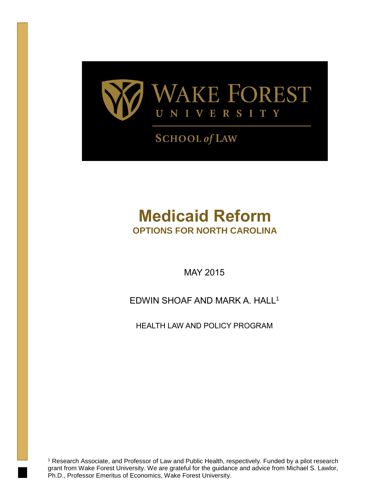

## **SCHOOL of LAW**

# **Medicaid Reform OPTIONS FOR NORTH CAROLINA**

MAY 2015

EDWIN SHOAF AND MARK A. HALL<sup>1</sup>

HEALTH LAW AND POLICY PROGRAM

<sup>1</sup> Research Associate, and Professor of Law and Public Health, respectively. Funded by a pilot research grant from Wake Forest University. We are grateful for the guidance and advice from Michael S. Lawlor, Ph.D., Professor Emeritus of Economics, Wake Forest University.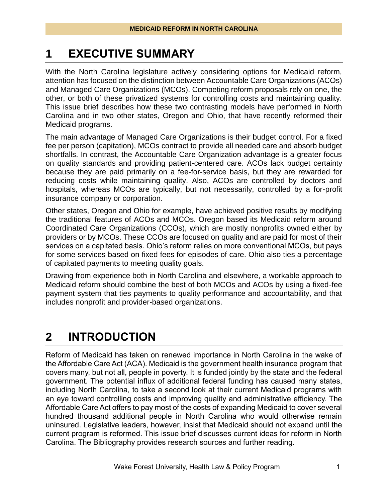## **1 EXECUTIVE SUMMARY**

With the North Carolina legislature actively considering options for Medicaid reform, attention has focused on the distinction between Accountable Care Organizations (ACOs) and Managed Care Organizations (MCOs). Competing reform proposals rely on one, the other, or both of these privatized systems for controlling costs and maintaining quality. This issue brief describes how these two contrasting models have performed in North Carolina and in two other states, Oregon and Ohio, that have recently reformed their Medicaid programs.

The main advantage of Managed Care Organizations is their budget control. For a fixed fee per person (capitation), MCOs contract to provide all needed care and absorb budget shortfalls. In contrast, the Accountable Care Organization advantage is a greater focus on quality standards and providing patient-centered care. ACOs lack budget certainty because they are paid primarily on a fee-for-service basis, but they are rewarded for reducing costs while maintaining quality. Also, ACOs are controlled by doctors and hospitals, whereas MCOs are typically, but not necessarily, controlled by a for-profit insurance company or corporation.

Other states, Oregon and Ohio for example, have achieved positive results by modifying the traditional features of ACOs and MCOs. Oregon based its Medicaid reform around Coordinated Care Organizations (CCOs), which are mostly nonprofits owned either by providers or by MCOs. These CCOs are focused on quality and are paid for most of their services on a capitated basis. Ohio's reform relies on more conventional MCOs, but pays for some services based on fixed fees for episodes of care. Ohio also ties a percentage of capitated payments to meeting quality goals.

Drawing from experience both in North Carolina and elsewhere, a workable approach to Medicaid reform should combine the best of both MCOs and ACOs by using a fixed-fee payment system that ties payments to quality performance and accountability, and that includes nonprofit and provider-based organizations.

## **2 INTRODUCTION**

Reform of Medicaid has taken on renewed importance in North Carolina in the wake of the Affordable Care Act (ACA). Medicaid is the government health insurance program that covers many, but not all, people in poverty. It is funded jointly by the state and the federal government. The potential influx of additional federal funding has caused many states, including North Carolina, to take a second look at their current Medicaid programs with an eye toward controlling costs and improving quality and administrative efficiency. The Affordable Care Act offers to pay most of the costs of expanding Medicaid to cover several hundred thousand additional people in North Carolina who would otherwise remain uninsured. Legislative leaders, however, insist that Medicaid should not expand until the current program is reformed. This issue brief discusses current ideas for reform in North Carolina. The Bibliography provides research sources and further reading.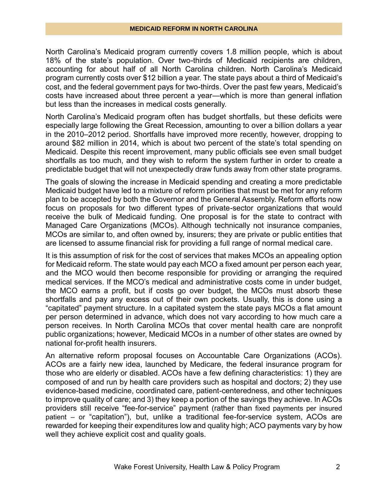North Carolina's Medicaid program currently covers 1.8 million people, which is about 18% of the state's population. Over two-thirds of Medicaid recipients are children, accounting for about half of all North Carolina children. North Carolina's Medicaid program currently costs over \$12 billion a year. The state pays about a third of Medicaid's cost, and the federal government pays for two-thirds. Over the past few years, Medicaid's costs have increased about three percent a year—which is more than general inflation but less than the increases in medical costs generally.

North Carolina's Medicaid program often has budget shortfalls, but these deficits were especially large following the Great Recession, amounting to over a billion dollars a year in the 2010–2012 period. Shortfalls have improved more recently, however, dropping to around \$82 million in 2014, which is about two percent of the state's total spending on Medicaid. Despite this recent improvement, many public officials see even small budget shortfalls as too much, and they wish to reform the system further in order to create a predictable budget that will not unexpectedly draw funds away from other state programs.

The goals of slowing the increase in Medicaid spending and creating a more predictable Medicaid budget have led to a mixture of reform priorities that must be met for any reform plan to be accepted by both the Governor and the General Assembly. Reform efforts now focus on proposals for two different types of private-sector organizations that would receive the bulk of Medicaid funding. One proposal is for the state to contract with Managed Care Organizations (MCOs). Although technically not insurance companies, MCOs are similar to, and often owned by, insurers; they are private or public entities that are licensed to assume financial risk for providing a full range of normal medical care.

It is this assumption of risk for the cost of services that makes MCOs an appealing option for Medicaid reform. The state would pay each MCO a fixed amount per person each year, and the MCO would then become responsible for providing or arranging the required medical services. If the MCO's medical and administrative costs come in under budget, the MCO earns a profit, but if costs go over budget, the MCOs must absorb these shortfalls and pay any excess out of their own pockets. Usually, this is done using a "capitated" payment structure. In a capitated system the state pays MCOs a flat amount per person determined in advance, which does not vary according to how much care a person receives. In North Carolina MCOs that cover mental health care are nonprofit public organizations; however, Medicaid MCOs in a number of other states are owned by national for-profit health insurers.

An alternative reform proposal focuses on Accountable Care Organizations (ACOs). ACOs are a fairly new idea, launched by Medicare, the federal insurance program for those who are elderly or disabled. ACOs have a few defining characteristics: 1) they are composed of and run by health care providers such as hospital and doctors; 2) they use evidence-based medicine, coordinated care, patient-centeredness, and other techniques to improve quality of care; and 3) they keep a portion of the savings they achieve. In ACOs providers still receive "fee-for-service" payment (rather than fixed payments per insured patient – or "capitation"), but, unlike a traditional fee-for-service system, ACOs are rewarded for keeping their expenditures low and quality high; ACO payments vary by how well they achieve explicit cost and quality goals.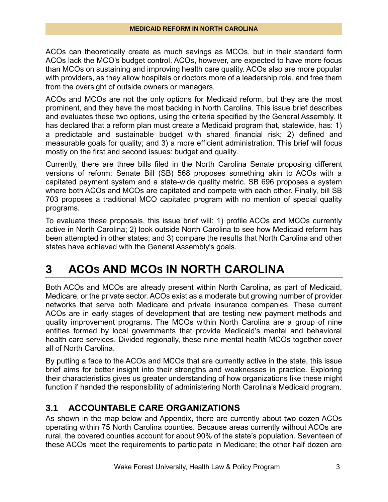ACOs can theoretically create as much savings as MCOs, but in their standard form ACOs lack the MCO's budget control. ACOs, however, are expected to have more focus than MCOs on sustaining and improving health care quality. ACOs also are more popular with providers, as they allow hospitals or doctors more of a leadership role, and free them from the oversight of outside owners or managers.

ACOs and MCOs are not the only options for Medicaid reform, but they are the most prominent, and they have the most backing in North Carolina. This issue brief describes and evaluates these two options, using the criteria specified by the General Assembly. It has declared that a reform plan must create a Medicaid program that, statewide, has: 1) a predictable and sustainable budget with shared financial risk; 2) defined and measurable goals for quality; and 3) a more efficient administration. This brief will focus mostly on the first and second issues: budget and quality.

Currently, there are three bills filed in the North Carolina Senate proposing different versions of reform: Senate Bill (SB) 568 proposes something akin to ACOs with a capitated payment system and a state-wide quality metric. SB 696 proposes a system where both ACOs and MCOs are capitated and compete with each other. Finally, bill SB 703 proposes a traditional MCO capitated program with no mention of special quality programs.

To evaluate these proposals, this issue brief will: 1) profile ACOs and MCOs currently active in North Carolina; 2) look outside North Carolina to see how Medicaid reform has been attempted in other states; and 3) compare the results that North Carolina and other states have achieved with the General Assembly's goals.

## **3 ACOS AND MCOS IN NORTH CAROLINA**

Both ACOs and MCOs are already present within North Carolina, as part of Medicaid, Medicare, or the private sector. ACOs exist as a moderate but growing number of provider networks that serve both Medicare and private insurance companies. These current ACOs are in early stages of development that are testing new payment methods and quality improvement programs. The MCOs within North Carolina are a group of nine entities formed by local governments that provide Medicaid's mental and behavioral health care services. Divided regionally, these nine mental health MCOs together cover all of North Carolina.

By putting a face to the ACOs and MCOs that are currently active in the state, this issue brief aims for better insight into their strengths and weaknesses in practice. Exploring their characteristics gives us greater understanding of how organizations like these might function if handed the responsibility of administering North Carolina's Medicaid program.

### **3.1 ACCOUNTABLE CARE ORGANIZATIONS**

As shown in the map below and Appendix, there are currently about two dozen ACOs operating within 75 North Carolina counties. Because areas currently without ACOs are rural, the covered counties account for about 90% of the state's population. Seventeen of these ACOs meet the requirements to participate in Medicare; the other half dozen are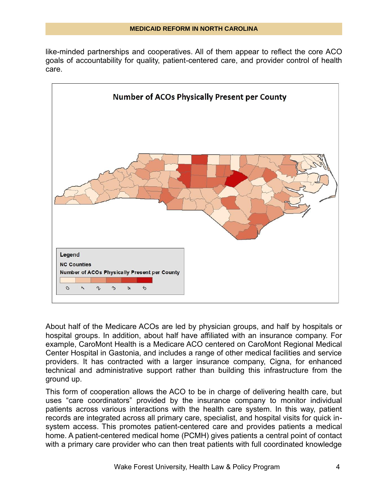like-minded partnerships and cooperatives. All of them appear to reflect the core ACO goals of accountability for quality, patient-centered care, and provider control of health care.



About half of the Medicare ACOs are led by physician groups, and half by hospitals or hospital groups. In addition, about half have affiliated with an insurance company. For example, CaroMont Health is a Medicare ACO centered on CaroMont Regional Medical Center Hospital in Gastonia, and includes a range of other medical facilities and service providers. It has contracted with a larger insurance company, Cigna, for enhanced technical and administrative support rather than building this infrastructure from the ground up.

This form of cooperation allows the ACO to be in charge of delivering health care, but uses "care coordinators" provided by the insurance company to monitor individual patients across various interactions with the health care system. In this way, patient records are integrated across all primary care, specialist, and hospital visits for quick insystem access. This promotes patient-centered care and provides patients a medical home. A patient-centered medical home (PCMH) gives patients a central point of contact with a primary care provider who can then treat patients with full coordinated knowledge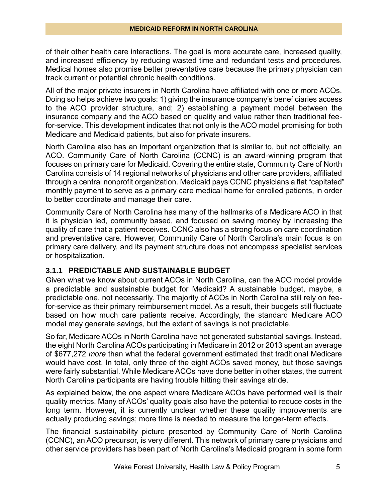of their other health care interactions. The goal is more accurate care, increased quality, and increased efficiency by reducing wasted time and redundant tests and procedures. Medical homes also promise better preventative care because the primary physician can track current or potential chronic health conditions.

All of the major private insurers in North Carolina have affiliated with one or more ACOs. Doing so helps achieve two goals: 1) giving the insurance company's beneficiaries access to the ACO provider structure, and; 2) establishing a payment model between the insurance company and the ACO based on quality and value rather than traditional feefor-service. This development indicates that not only is the ACO model promising for both Medicare and Medicaid patients, but also for private insurers.

North Carolina also has an important organization that is similar to, but not officially, an ACO. Community Care of North Carolina (CCNC) is an award-winning program that focuses on primary care for Medicaid. Covering the entire state, Community Care of North Carolina consists of 14 regional networks of physicians and other care providers, affiliated through a central nonprofit organization. Medicaid pays CCNC physicians a flat "capitated" monthly payment to serve as a primary care medical home for enrolled patients, in order to better coordinate and manage their care.

Community Care of North Carolina has many of the hallmarks of a Medicare ACO in that it is physician led, community based, and focused on saving money by increasing the quality of care that a patient receives. CCNC also has a strong focus on care coordination and preventative care. However, Community Care of North Carolina's main focus is on primary care delivery, and its payment structure does not encompass specialist services or hospitalization.

#### **3.1.1 PREDICTABLE AND SUSTAINABLE BUDGET**

Given what we know about current ACOs in North Carolina, can the ACO model provide a predictable and sustainable budget for Medicaid? A sustainable budget, maybe, a predictable one, not necessarily. The majority of ACOs in North Carolina still rely on feefor-service as their primary reimbursement model. As a result, their budgets still fluctuate based on how much care patients receive. Accordingly, the standard Medicare ACO model may generate savings, but the extent of savings is not predictable.

So far, Medicare ACOs in North Carolina have not generated substantial savings. Instead, the eight North Carolina ACOs participating in Medicare in 2012 or 2013 spent an average of \$677,272 *more* than what the federal government estimated that traditional Medicare would have cost. In total, only three of the eight ACOs saved money, but those savings were fairly substantial. While Medicare ACOs have done better in other states, the current North Carolina participants are having trouble hitting their savings stride.

As explained below, the one aspect where Medicare ACOs have performed well is their quality metrics. Many of ACOs' quality goals also have the potential to reduce costs in the long term. However, it is currently unclear whether these quality improvements are actually producing savings; more time is needed to measure the longer-term effects.

The financial sustainability picture presented by Community Care of North Carolina (CCNC), an ACO precursor, is very different. This network of primary care physicians and other service providers has been part of North Carolina's Medicaid program in some form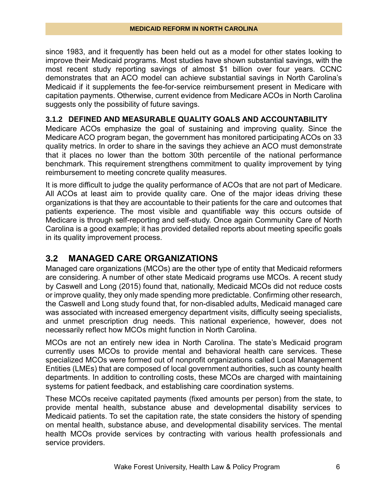since 1983, and it frequently has been held out as a model for other states looking to improve their Medicaid programs. Most studies have shown substantial savings, with the most recent study reporting savings of almost \$1 billion over four years. CCNC demonstrates that an ACO model can achieve substantial savings in North Carolina's Medicaid if it supplements the fee-for-service reimbursement present in Medicare with capitation payments. Otherwise, current evidence from Medicare ACOs in North Carolina suggests only the possibility of future savings.

#### **3.1.2 DEFINED AND MEASURABLE QUALITY GOALS AND ACCOUNTABILITY**

Medicare ACOs emphasize the goal of sustaining and improving quality. Since the Medicare ACO program began, the government has monitored participating ACOs on 33 quality metrics. In order to share in the savings they achieve an ACO must demonstrate that it places no lower than the bottom 30th percentile of the national performance benchmark. This requirement strengthens commitment to quality improvement by tying reimbursement to meeting concrete quality measures.

It is more difficult to judge the quality performance of ACOs that are not part of Medicare. All ACOs at least aim to provide quality care. One of the major ideas driving these organizations is that they are accountable to their patients for the care and outcomes that patients experience. The most visible and quantifiable way this occurs outside of Medicare is through self-reporting and self-study. Once again Community Care of North Carolina is a good example; it has provided detailed reports about meeting specific goals in its quality improvement process.

#### **3.2 MANAGED CARE ORGANIZATIONS**

Managed care organizations (MCOs) are the other type of entity that Medicaid reformers are considering. A number of other state Medicaid programs use MCOs. A recent study by Caswell and Long (2015) found that, nationally, Medicaid MCOs did not reduce costs or improve quality, they only made spending more predictable. Confirming other research, the Caswell and Long study found that, for non-disabled adults, Medicaid managed care was associated with increased emergency department visits, difficulty seeing specialists, and unmet prescription drug needs. This national experience, however, does not necessarily reflect how MCOs might function in North Carolina.

MCOs are not an entirely new idea in North Carolina. The state's Medicaid program currently uses MCOs to provide mental and behavioral health care services. These specialized MCOs were formed out of nonprofit organizations called Local Management Entities (LMEs) that are composed of local government authorities, such as county health departments. In addition to controlling costs, these MCOs are charged with maintaining systems for patient feedback, and establishing care coordination systems.

These MCOs receive capitated payments (fixed amounts per person) from the state, to provide mental health, substance abuse and developmental disability services to Medicaid patients. To set the capitation rate, the state considers the history of spending on mental health, substance abuse, and developmental disability services. The mental health MCOs provide services by contracting with various health professionals and service providers.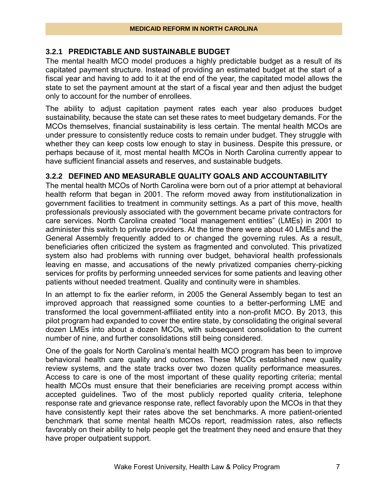#### **3.2.1 PREDICTABLE AND SUSTAINABLE BUDGET**

The mental health MCO model produces a highly predictable budget as a result of its capitated payment structure. Instead of providing an estimated budget at the start of a fiscal year and having to add to it at the end of the year, the capitated model allows the state to set the payment amount at the start of a fiscal year and then adjust the budget only to account for the number of enrollees.

The ability to adjust capitation payment rates each year also produces budget sustainability, because the state can set these rates to meet budgetary demands. For the MCOs themselves, financial sustainability is less certain. The mental health MCOs are under pressure to consistently reduce costs to remain under budget. They struggle with whether they can keep costs low enough to stay in business. Despite this pressure, or perhaps because of it, most mental health MCOs in North Carolina currently appear to have sufficient financial assets and reserves, and sustainable budgets.

#### **3.2.2 DEFINED AND MEASURABLE QUALITY GOALS AND ACCOUNTABILITY**

The mental health MCOs of North Carolina were born out of a prior attempt at behavioral health reform that began in 2001. The reform moved away from institutionalization in government facilities to treatment in community settings. As a part of this move, health professionals previously associated with the government became private contractors for care services. North Carolina created "local management entities" (LMEs) in 2001 to administer this switch to private providers. At the time there were about 40 LMEs and the General Assembly frequently added to or changed the governing rules. As a result, beneficiaries often criticized the system as fragmented and convoluted. This privatized system also had problems with running over budget, behavioral health professionals leaving en masse, and accusations of the newly privatized companies cherry-picking services for profits by performing unneeded services for some patients and leaving other patients without needed treatment. Quality and continuity were in shambles.

In an attempt to fix the earlier reform, in 2005 the General Assembly began to test an improved approach that reassigned some counties to a better-performing LME and transformed the local government-affiliated entity into a non-profit MCO. By 2013, this pilot program had expanded to cover the entire state, by consolidating the original several dozen LMEs into about a dozen MCOs, with subsequent consolidation to the current number of nine, and further consolidations still being considered.

One of the goals for North Carolina's mental health MCO program has been to improve behavioral health care quality and outcomes. These MCOs established new quality review systems, and the state tracks over two dozen quality performance measures. Access to care is one of the most important of these quality reporting criteria; mental health MCOs must ensure that their beneficiaries are receiving prompt access within accepted guidelines. Two of the most publicly reported quality criteria, telephone response rate and grievance response rate, reflect favorably upon the MCOs in that they have consistently kept their rates above the set benchmarks. A more patient-oriented benchmark that some mental health MCOs report, readmission rates, also reflects favorably on their ability to help people get the treatment they need and ensure that they have proper outpatient support.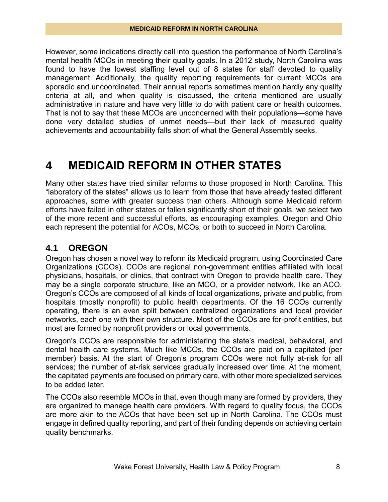However, some indications directly call into question the performance of North Carolina's mental health MCOs in meeting their quality goals. In a 2012 study, North Carolina was found to have the lowest staffing level out of 8 states for staff devoted to quality management. Additionally, the quality reporting requirements for current MCOs are sporadic and uncoordinated. Their annual reports sometimes mention hardly any quality criteria at all, and when quality is discussed, the criteria mentioned are usually administrative in nature and have very little to do with patient care or health outcomes. That is not to say that these MCOs are unconcerned with their populations—some have done very detailed studies of unmet needs—but their lack of measured quality achievements and accountability falls short of what the General Assembly seeks.

### **4 MEDICAID REFORM IN OTHER STATES**

Many other states have tried similar reforms to those proposed in North Carolina. This "laboratory of the states" allows us to learn from those that have already tested different approaches, some with greater success than others. Although some Medicaid reform efforts have failed in other states or fallen significantly short of their goals, we select two of the more recent and successful efforts, as encouraging examples. Oregon and Ohio each represent the potential for ACOs, MCOs, or both to succeed in North Carolina.

### **4.1 OREGON**

Oregon has chosen a novel way to reform its Medicaid program, using Coordinated Care Organizations (CCOs). CCOs are regional non-government entities affiliated with local physicians, hospitals, or clinics, that contract with Oregon to provide health care. They may be a single corporate structure, like an MCO, or a provider network, like an ACO. Oregon's CCOs are composed of all kinds of local organizations, private and public, from hospitals (mostly nonprofit) to public health departments. Of the 16 CCOs currently operating, there is an even split between centralized organizations and local provider networks, each one with their own structure. Most of the CCOs are for-profit entities, but most are formed by nonprofit providers or local governments.

Oregon's CCOs are responsible for administering the state's medical, behavioral, and dental health care systems. Much like MCOs, the CCOs are paid on a capitated (per member) basis. At the start of Oregon's program CCOs were not fully at-risk for all services; the number of at-risk services gradually increased over time. At the moment, the capitated payments are focused on primary care, with other more specialized services to be added later.

The CCOs also resemble MCOs in that, even though many are formed by providers, they are organized to manage health care providers. With regard to quality focus, the CCOs are more akin to the ACOs that have been set up in North Carolina. The CCOs must engage in defined quality reporting, and part of their funding depends on achieving certain quality benchmarks.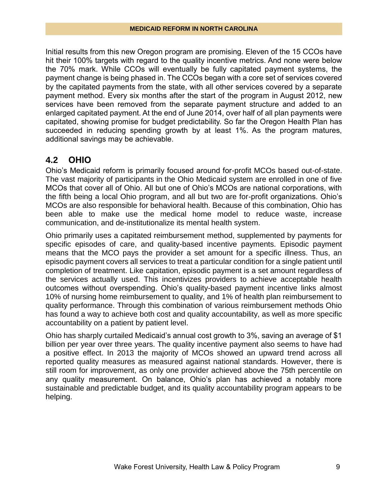Initial results from this new Oregon program are promising. Eleven of the 15 CCOs have hit their 100% targets with regard to the quality incentive metrics. And none were below the 70% mark. While CCOs will eventually be fully capitated payment systems, the payment change is being phased in. The CCOs began with a core set of services covered by the capitated payments from the state, with all other services covered by a separate payment method. Every six months after the start of the program in August 2012, new services have been removed from the separate payment structure and added to an enlarged capitated payment. At the end of June 2014, over half of all plan payments were capitated, showing promise for budget predictability. So far the Oregon Health Plan has succeeded in reducing spending growth by at least 1%. As the program matures, additional savings may be achievable.

### **4.2 OHIO**

Ohio's Medicaid reform is primarily focused around for-profit MCOs based out-of-state. The vast majority of participants in the Ohio Medicaid system are enrolled in one of five MCOs that cover all of Ohio. All but one of Ohio's MCOs are national corporations, with the fifth being a local Ohio program, and all but two are for-profit organizations. Ohio's MCOs are also responsible for behavioral health. Because of this combination, Ohio has been able to make use the medical home model to reduce waste, increase communication, and de-institutionalize its mental health system.

Ohio primarily uses a capitated reimbursement method, supplemented by payments for specific episodes of care, and quality-based incentive payments. Episodic payment means that the MCO pays the provider a set amount for a specific illness. Thus, an episodic payment covers all services to treat a particular condition for a single patient until completion of treatment. Like capitation, episodic payment is a set amount regardless of the services actually used. This incentivizes providers to achieve acceptable health outcomes without overspending. Ohio's quality-based payment incentive links almost 10% of nursing home reimbursement to quality, and 1% of health plan reimbursement to quality performance. Through this combination of various reimbursement methods Ohio has found a way to achieve both cost and quality accountability, as well as more specific accountability on a patient by patient level.

Ohio has sharply curtailed Medicaid's annual cost growth to 3%, saving an average of \$1 billion per year over three years. The quality incentive payment also seems to have had a positive effect. In 2013 the majority of MCOs showed an upward trend across all reported quality measures as measured against national standards. However, there is still room for improvement, as only one provider achieved above the 75th percentile on any quality measurement. On balance, Ohio's plan has achieved a notably more sustainable and predictable budget, and its quality accountability program appears to be helping.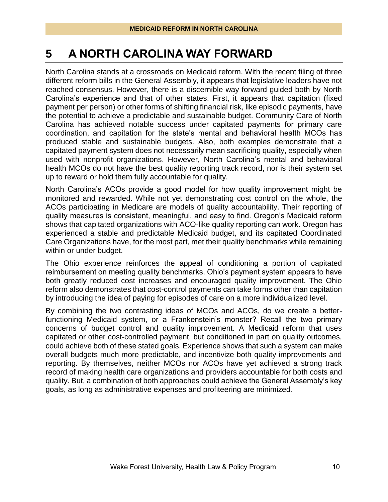### **5 A NORTH CAROLINA WAY FORWARD**

North Carolina stands at a crossroads on Medicaid reform. With the recent filing of three different reform bills in the General Assembly, it appears that legislative leaders have not reached consensus. However, there is a discernible way forward guided both by North Carolina's experience and that of other states. First, it appears that capitation (fixed payment per person) or other forms of shifting financial risk, like episodic payments, have the potential to achieve a predictable and sustainable budget. Community Care of North Carolina has achieved notable success under capitated payments for primary care coordination, and capitation for the state's mental and behavioral health MCOs has produced stable and sustainable budgets. Also, both examples demonstrate that a capitated payment system does not necessarily mean sacrificing quality, especially when used with nonprofit organizations. However, North Carolina's mental and behavioral health MCOs do not have the best quality reporting track record, nor is their system set up to reward or hold them fully accountable for quality.

North Carolina's ACOs provide a good model for how quality improvement might be monitored and rewarded. While not yet demonstrating cost control on the whole, the ACOs participating in Medicare are models of quality accountability. Their reporting of quality measures is consistent, meaningful, and easy to find. Oregon's Medicaid reform shows that capitated organizations with ACO-like quality reporting can work. Oregon has experienced a stable and predictable Medicaid budget, and its capitated Coordinated Care Organizations have, for the most part, met their quality benchmarks while remaining within or under budget.

The Ohio experience reinforces the appeal of conditioning a portion of capitated reimbursement on meeting quality benchmarks. Ohio's payment system appears to have both greatly reduced cost increases and encouraged quality improvement. The Ohio reform also demonstrates that cost-control payments can take forms other than capitation by introducing the idea of paying for episodes of care on a more individualized level.

By combining the two contrasting ideas of MCOs and ACOs, do we create a betterfunctioning Medicaid system, or a Frankenstein's monster? Recall the two primary concerns of budget control and quality improvement. A Medicaid reform that uses capitated or other cost-controlled payment, but conditioned in part on quality outcomes, could achieve both of these stated goals. Experience shows that such a system can make overall budgets much more predictable, and incentivize both quality improvements and reporting. By themselves, neither MCOs nor ACOs have yet achieved a strong track record of making health care organizations and providers accountable for both costs and quality. But, a combination of both approaches could achieve the General Assembly's key goals, as long as administrative expenses and profiteering are minimized.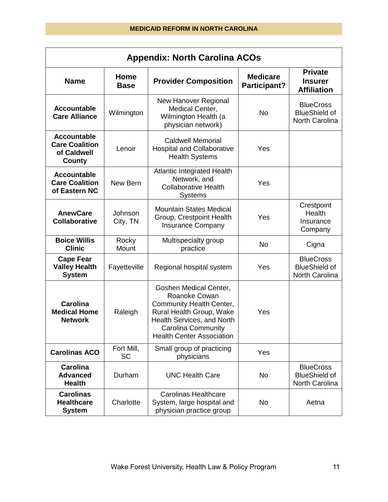| <b>Appendix: North Carolina ACOs</b>                                 |                         |                                                                                                                                                                                         |                                 |                                                            |  |  |  |
|----------------------------------------------------------------------|-------------------------|-----------------------------------------------------------------------------------------------------------------------------------------------------------------------------------------|---------------------------------|------------------------------------------------------------|--|--|--|
| <b>Name</b>                                                          | Home<br><b>Base</b>     | <b>Provider Composition</b>                                                                                                                                                             | <b>Medicare</b><br>Participant? | <b>Private</b><br><b>Insurer</b><br><b>Affiliation</b>     |  |  |  |
| <b>Accountable</b><br><b>Care Alliance</b>                           | Wilmington              | New Hanover Regional<br>Medical Center,<br>Wilmington Health (a<br>physician network)                                                                                                   | <b>No</b>                       | <b>BlueCross</b><br><b>BlueShield of</b><br>North Carolina |  |  |  |
| <b>Accountable</b><br><b>Care Coalition</b><br>of Caldwell<br>County | Lenoir                  | <b>Caldwell Memorial</b><br><b>Hospital and Collaborative</b><br><b>Health Systems</b>                                                                                                  | Yes                             |                                                            |  |  |  |
| <b>Accountable</b><br><b>Care Coalition</b><br>of Eastern NC         | New Bern                | <b>Atlantic Integrated Health</b><br>Network, and<br><b>Collaborative Health</b><br><b>Systems</b>                                                                                      | Yes                             |                                                            |  |  |  |
| <b>AnewCare</b><br><b>Collaborative</b>                              | Johnson<br>City, TN     | <b>Mountain States Medical</b><br>Group, Crestpoint Health<br><b>Insurance Company</b>                                                                                                  | Yes                             | Crestpoint<br>Health<br>Insurance<br>Company               |  |  |  |
| <b>Boice Willis</b><br><b>Clinic</b>                                 | Rocky<br>Mount          | Multispecialty group<br>practice                                                                                                                                                        | <b>No</b>                       | Cigna                                                      |  |  |  |
| <b>Cape Fear</b><br><b>Valley Health</b><br><b>System</b>            | Fayetteville            | Regional hospital system                                                                                                                                                                | Yes                             | <b>BlueCross</b><br><b>BlueShield of</b><br>North Carolina |  |  |  |
| Carolina<br><b>Medical Home</b><br><b>Network</b>                    | Raleigh                 | Goshen Medical Center,<br>Roanoke Cowan<br>Community Health Center,<br>Rural Health Group, Wake<br>Health Services, and North<br>Carolina Community<br><b>Health Center Association</b> | Yes                             |                                                            |  |  |  |
| <b>Carolinas ACO</b>                                                 | Fort Mill,<br><b>SC</b> | Small group of practicing<br>physicians                                                                                                                                                 | Yes                             |                                                            |  |  |  |
| <b>Carolina</b><br><b>Advanced</b><br><b>Health</b>                  | Durham                  | <b>UNC Health Care</b>                                                                                                                                                                  | <b>No</b>                       | <b>BlueCross</b><br><b>BlueShield of</b><br>North Carolina |  |  |  |
| <b>Carolinas</b><br><b>Healthcare</b><br><b>System</b>               | Charlotte               | <b>Carolinas Healthcare</b><br>System, large hospital and<br>physician practice group                                                                                                   | No                              | Aetna                                                      |  |  |  |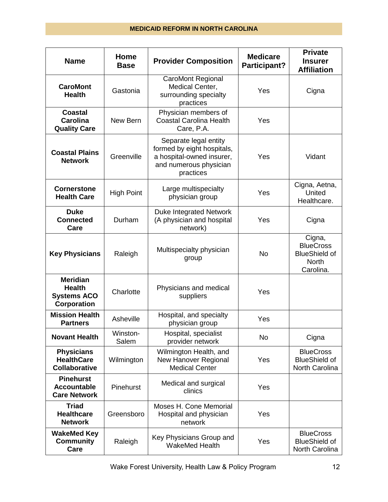| <b>Name</b>                                                                  | Home<br><b>Base</b> | <b>Provider Composition</b>                                                                                             | <b>Medicare</b><br>Participant? | <b>Private</b><br><b>Insurer</b><br><b>Affiliation</b>                          |
|------------------------------------------------------------------------------|---------------------|-------------------------------------------------------------------------------------------------------------------------|---------------------------------|---------------------------------------------------------------------------------|
| <b>CaroMont</b><br><b>Health</b>                                             | Gastonia            | <b>CaroMont Regional</b><br>Medical Center,<br>surrounding specialty<br>practices                                       | Yes                             | Cigna                                                                           |
| <b>Coastal</b><br>Carolina<br><b>Quality Care</b>                            | New Bern            | Physician members of<br><b>Coastal Carolina Health</b><br>Care, P.A.                                                    | Yes                             |                                                                                 |
| <b>Coastal Plains</b><br><b>Network</b>                                      | Greenville          | Separate legal entity<br>formed by eight hospitals,<br>a hospital-owned insurer,<br>and numerous physician<br>practices | Yes                             | Vidant                                                                          |
| <b>Cornerstone</b><br><b>Health Care</b>                                     | <b>High Point</b>   | Large multispecialty<br>physician group                                                                                 | Yes                             | Cigna, Aetna,<br>United<br>Healthcare.                                          |
| <b>Duke</b><br><b>Connected</b><br>Care                                      | Durham              | Duke Integrated Network<br>(A physician and hospital<br>network)                                                        | Yes                             | Cigna                                                                           |
| <b>Key Physicians</b>                                                        | Raleigh             | Multispecialty physician<br>group                                                                                       | <b>No</b>                       | Cigna,<br><b>BlueCross</b><br><b>BlueShield of</b><br><b>North</b><br>Carolina. |
| <b>Meridian</b><br><b>Health</b><br><b>Systems ACO</b><br><b>Corporation</b> | Charlotte           | Physicians and medical<br>suppliers                                                                                     | Yes                             |                                                                                 |
| <b>Mission Health</b><br><b>Partners</b>                                     | Asheville           | Hospital, and specialty<br>physician group                                                                              | Yes                             |                                                                                 |
| <b>Novant Health</b>                                                         | Winston-<br>Salem   | Hospital, specialist<br>provider network                                                                                | <b>No</b>                       | Cigna                                                                           |
| <b>Physicians</b><br><b>HealthCare</b><br><b>Collaborative</b>               | Wilmington          | Wilmington Health, and<br><b>New Hanover Regional</b><br><b>Medical Center</b>                                          | Yes                             | <b>BlueCross</b><br><b>BlueShield of</b><br>North Carolina                      |
| <b>Pinehurst</b><br><b>Accountable</b><br><b>Care Network</b>                | Pinehurst           | Medical and surgical<br>clinics                                                                                         | Yes                             |                                                                                 |
| <b>Triad</b><br><b>Healthcare</b><br><b>Network</b>                          | Greensboro          | Moses H. Cone Memorial<br>Hospital and physician<br>network                                                             | Yes                             |                                                                                 |
| <b>WakeMed Key</b><br><b>Community</b><br>Care                               | Raleigh             | Key Physicians Group and<br>WakeMed Health                                                                              | Yes                             | <b>BlueCross</b><br><b>BlueShield of</b><br>North Carolina                      |